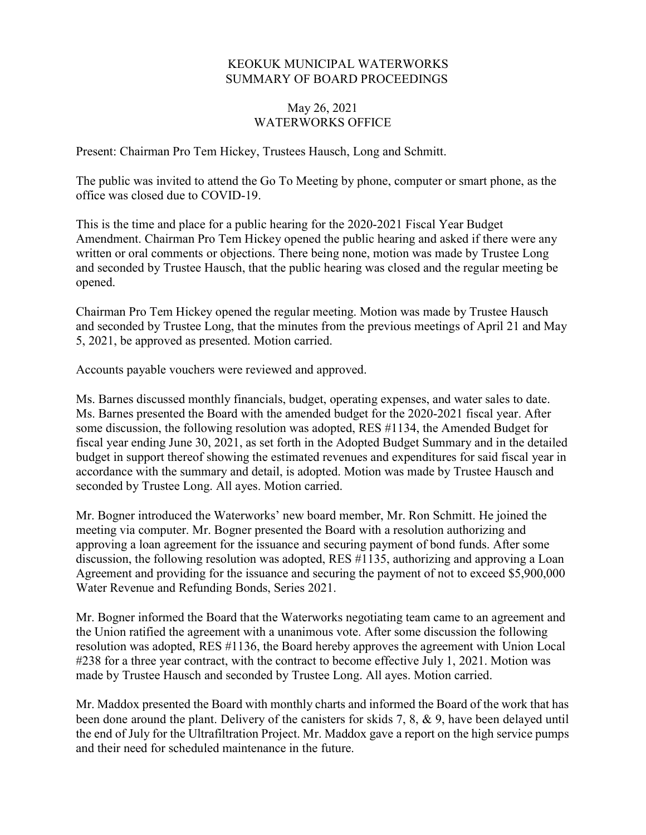## KEOKUK MUNICIPAL WATERWORKS SUMMARY OF BOARD PROCEEDINGS

## May 26, 2021 WATERWORKS OFFICE

Present: Chairman Pro Tem Hickey, Trustees Hausch, Long and Schmitt.

The public was invited to attend the Go To Meeting by phone, computer or smart phone, as the office was closed due to COVID-19.

This is the time and place for a public hearing for the 2020-2021 Fiscal Year Budget Amendment. Chairman Pro Tem Hickey opened the public hearing and asked if there were any written or oral comments or objections. There being none, motion was made by Trustee Long and seconded by Trustee Hausch, that the public hearing was closed and the regular meeting be opened.

Chairman Pro Tem Hickey opened the regular meeting. Motion was made by Trustee Hausch and seconded by Trustee Long, that the minutes from the previous meetings of April 21 and May 5, 2021, be approved as presented. Motion carried.

Accounts payable vouchers were reviewed and approved.

Ms. Barnes discussed monthly financials, budget, operating expenses, and water sales to date. Ms. Barnes presented the Board with the amended budget for the 2020-2021 fiscal year. After some discussion, the following resolution was adopted, RES #1134, the Amended Budget for fiscal year ending June 30, 2021, as set forth in the Adopted Budget Summary and in the detailed budget in support thereof showing the estimated revenues and expenditures for said fiscal year in accordance with the summary and detail, is adopted. Motion was made by Trustee Hausch and seconded by Trustee Long. All ayes. Motion carried.

Mr. Bogner introduced the Waterworks' new board member, Mr. Ron Schmitt. He joined the meeting via computer. Mr. Bogner presented the Board with a resolution authorizing and approving a loan agreement for the issuance and securing payment of bond funds. After some discussion, the following resolution was adopted, RES #1135, authorizing and approving a Loan Agreement and providing for the issuance and securing the payment of not to exceed \$5,900,000 Water Revenue and Refunding Bonds, Series 2021.

Mr. Bogner informed the Board that the Waterworks negotiating team came to an agreement and the Union ratified the agreement with a unanimous vote. After some discussion the following resolution was adopted, RES #1136, the Board hereby approves the agreement with Union Local #238 for a three year contract, with the contract to become effective July 1, 2021. Motion was made by Trustee Hausch and seconded by Trustee Long. All ayes. Motion carried.

Mr. Maddox presented the Board with monthly charts and informed the Board of the work that has been done around the plant. Delivery of the canisters for skids 7, 8, & 9, have been delayed until the end of July for the Ultrafiltration Project. Mr. Maddox gave a report on the high service pumps and their need for scheduled maintenance in the future.